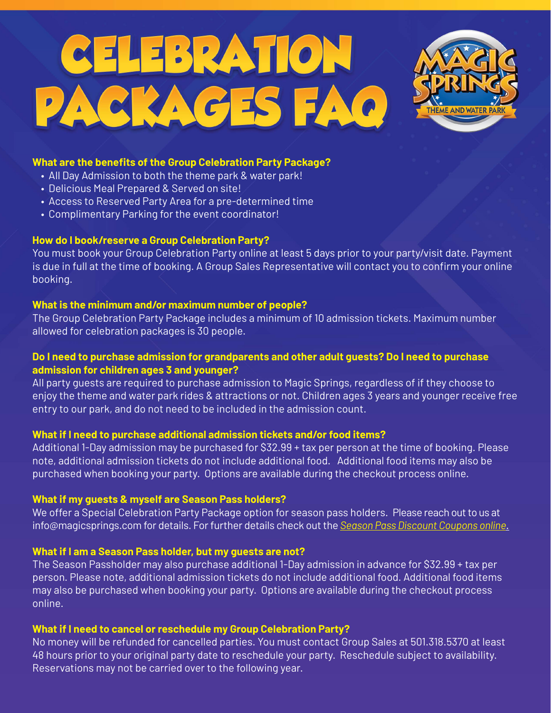# CELEBRATION PACKAGES FAQ



## **What are the benefits of the Group Celebration Party Package?**

- All Day Admission to both the theme park & water park!
- Delicious Meal Prepared & Served on site!
- Access to Reserved Party Area for a pre-determined time
- Complimentary Parking for the event coordinator!

## **How do I book/reserve a Group Celebration Party?**

You must book your Group Celebration Party online at least 5 days prior to your party/visit date. Payment is due in full at the time of booking. A Group Sales Representative will contact you to confirm your online booking.

## **What is the minimum and/or maximum number of people?**

The Group Celebration Party Package includes a minimum of 10 admission tickets. Maximum number allowed for celebration packages is 30 people.

# **Do I need to purchase admission for grandparents and other adult guests? Do I need to purchase admission for children ages 3 and younger?**

All party guests are required to purchase admission to Magic Springs, regardless of if they choose to enjoy the theme and water park rides & attractions or not. Children ages 3 years and younger receive free entry to our park, and do not need to be included in the admission count.

# **What if I need to purchase additional admission tickets and/or food items?**

Additional 1-Day admission may be purchased for \$32.99 + tax per person at the time of booking. Please note, additional admission tickets do not include additional food. Additional food items may also be purchased when booking your party. Options are available during the checkout process online.

# **What if my guests & myself are Season Pass holders?**

We offer a Special Celebration Party Package option for season pass holders. Please reach out to us at info@magicsprings.com for details. For further details check out the *[Season Pass Discount Coupons online](https://www.magicsprings.com/coupons.php)*.

# **What if I am a Season Pass holder, but my guests are not?**

The Season Passholder may also purchase additional 1-Day admission in advance for \$32.99 + tax per person. Please note, additional admission tickets do not include additional food. Additional food items may also be purchased when booking your party. Options are available during the checkout process online.

# **What if I need to cancel or reschedule my Group Celebration Party?**

No money will be refunded for cancelled parties. You must contact Group Sales at 501.318.5370 at least 48 hours prior to your original party date to reschedule your party. Reschedule subject to availability. Reservations may not be carried over to the following year.